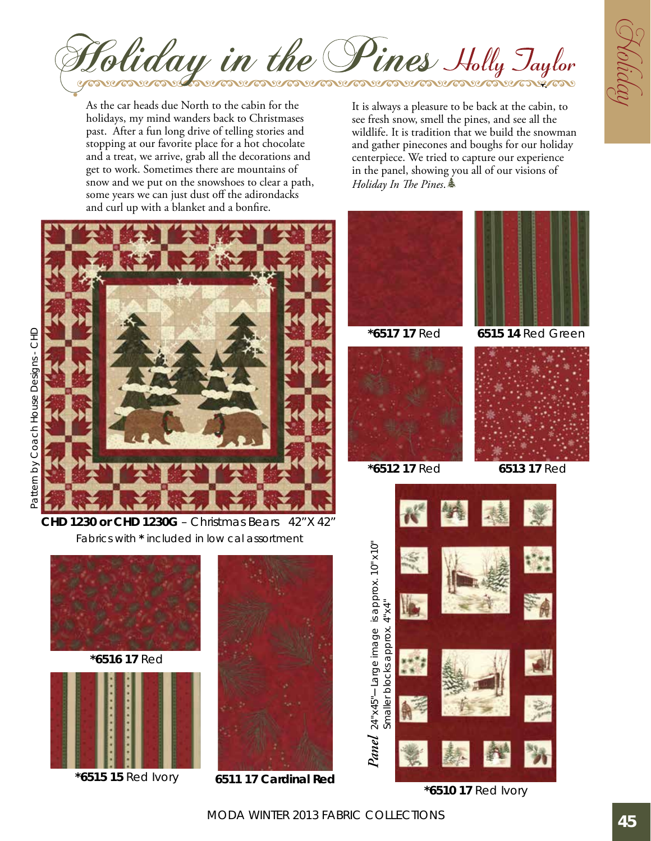

As the car heads due North to the cabin for the holidays, my mind wanders back to Christmases past. After a fun long drive of telling stories and stopping at our favorite place for a hot chocolate and a treat, we arrive, grab all the decorations and get to work. Sometimes there are mountains of snow and we put on the snowshoes to clear a path, some years we can just dust off the adirondacks and curl up with a blanket and a bonfire.



Pattern by Coach House Designs - Pattern by Coach House Designs - CHD

> Fabrics with **\*** included in low cal assortment **CHD 1230 or CHD 1230G** – Christmas Bears 42"X 42"



**\*6516 17** Red



**\*6515 15** Red Ivory



**6511 17 Cardinal Red**

It is always a pleasure to be back at the cabin, to see fresh snow, smell the pines, and see all the wildlife. It is tradition that we build the snowman and gather pinecones and boughs for our holiday centerpiece. We tried to capture our experience in the panel, showing you all of our visions of *Holiday In The Pines*.,



**\*6510 17** Red Ivory

MODA Winter 2013 Fabric Collections **45**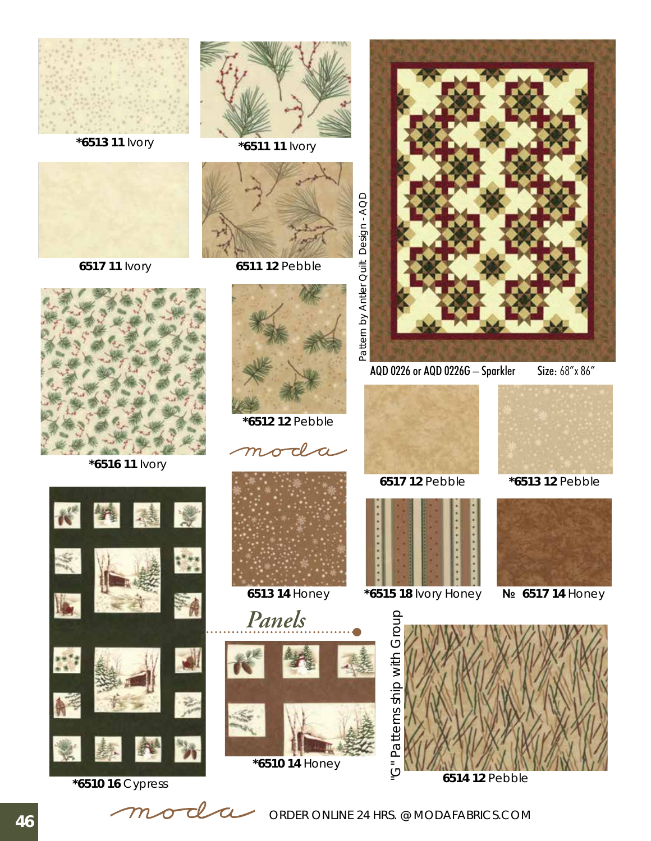

**\*6513 11** Ivory **\*6511 11** Ivory



**6517 11** Ivory



**\*6516 11** Ivory





**6511 12** Pebble



**\*6512 12** Pebble













AQD 0226 or AQD 0226G – Sparkler Size: 68"x 86"





 **\*6515 18** Ivory Honey **6513 14** Honey **№ 6517 14** Honey



 **6517 12** Pebble **\*6513 12** Pebble





**6514 12** Pebble

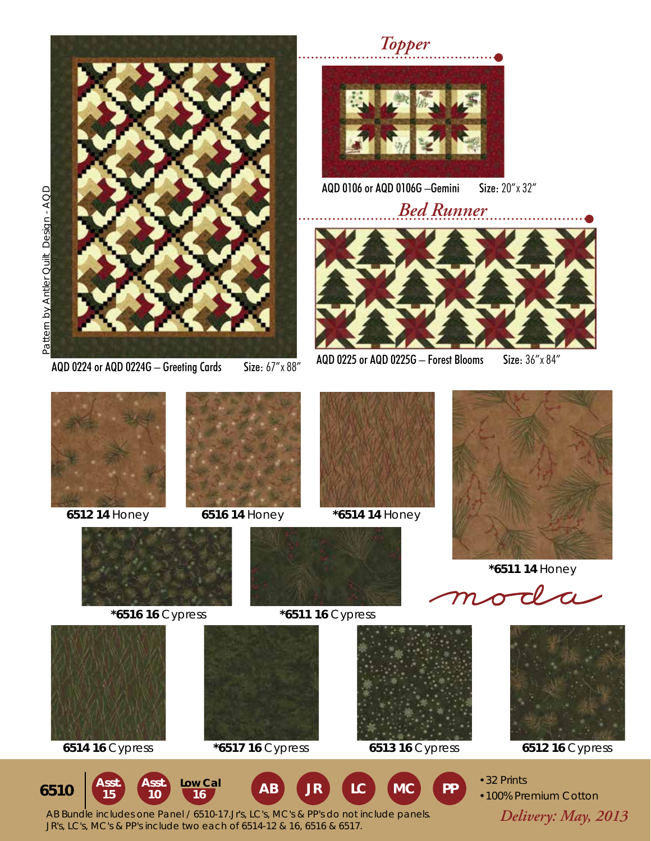

*Topper*



AQD 0106 or AQD 0106G –Gemini Size: 20"x 32"



AQD 0224 or AQD 0224G – Greeting Cards Size:  $67'' \times 88''$  AQD 0225 or AQD 0225G – Forest Blooms Size:  $36'' \times 84''$ 









 **\*6511 14** Honey







**15**

**Low Cal 6510**



**6514 16** Cypress **\*6517 16** Cypress **6513 16** Cypress **6512 16** Cypress







- •32 Prints
- •100% Premium Cotton **JR LC MC PP**

 *Delivery: May, 2013* AB Bundle includes one Panel / 6510-17.Jr's, LC's, MC's & PP's do not include panels. Asst. Asst. Low Cal AB<br>15 10 16 AB **Asst. 10 16** JR's, LC's, MC's & PP's include two each of 6514-12 & 16, 6516 & 6517.



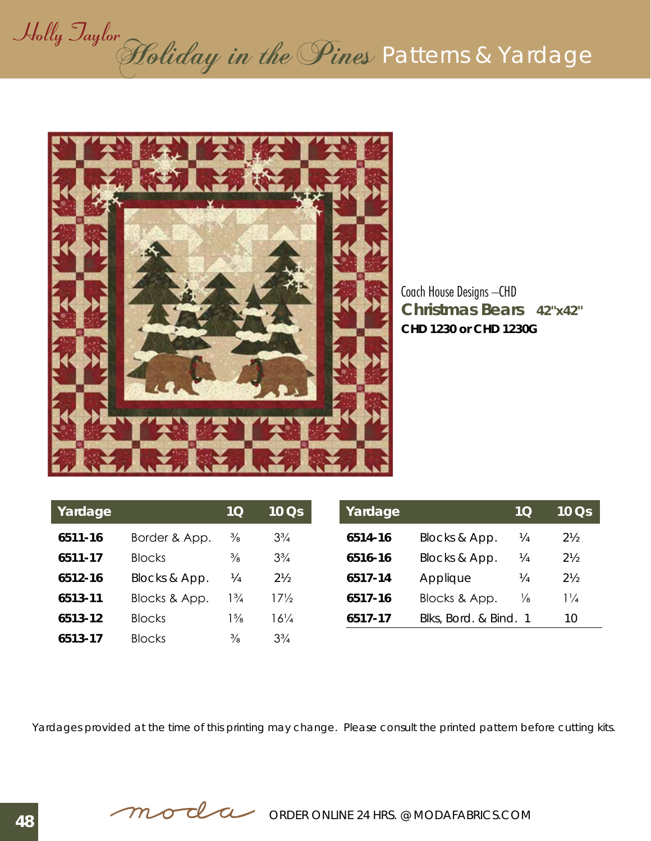# Holly Jaylor<br>Holiday in the Pines Patterns & Yardage



**Christmas Bears 42"x42"** Coach House Designs –CHD **CHD 1230 or CHD 1230G**

| Yardage |               | 10             | $10$ Qs         |
|---------|---------------|----------------|-----------------|
| 6511-16 | Border & App. | $\frac{3}{8}$  | $3\frac{3}{4}$  |
| 6511-17 | <b>Blocks</b> | $\frac{3}{8}$  | $3\frac{3}{4}$  |
| 6512-16 | Blocks & App. | ¼              | $2\frac{1}{2}$  |
| 6513-11 | Blocks & App. | $1\frac{3}{4}$ | $17\frac{1}{2}$ |
| 6513-12 | <b>Blocks</b> | $1\frac{5}{8}$ | $16\frac{1}{4}$ |
| 6513-17 | <b>Blocks</b> | $\frac{3}{8}$  | $3\frac{3}{4}$  |

| Yardage |                       | 10 <sub>1</sub> | $10$ $\overline{Os}$ |
|---------|-----------------------|-----------------|----------------------|
| 6514-16 | Blocks & App.         | ¼               | $2\frac{1}{2}$       |
| 6516-16 | Blocks & App.         | ¼               | $2\frac{1}{2}$       |
| 6517-14 | Applique              | ¼               | $2\frac{1}{2}$       |
| 6517-16 | Blocks & App.         | ⅓               | $1\frac{1}{4}$       |
| 6517-17 | Blks, Bord. & Bind. 1 |                 | 10                   |

Yardages provided at the time of this printing may change. Please consult the printed pattern before cutting kits.

**order online 24 HRS. @ MODAFABRICS.COM**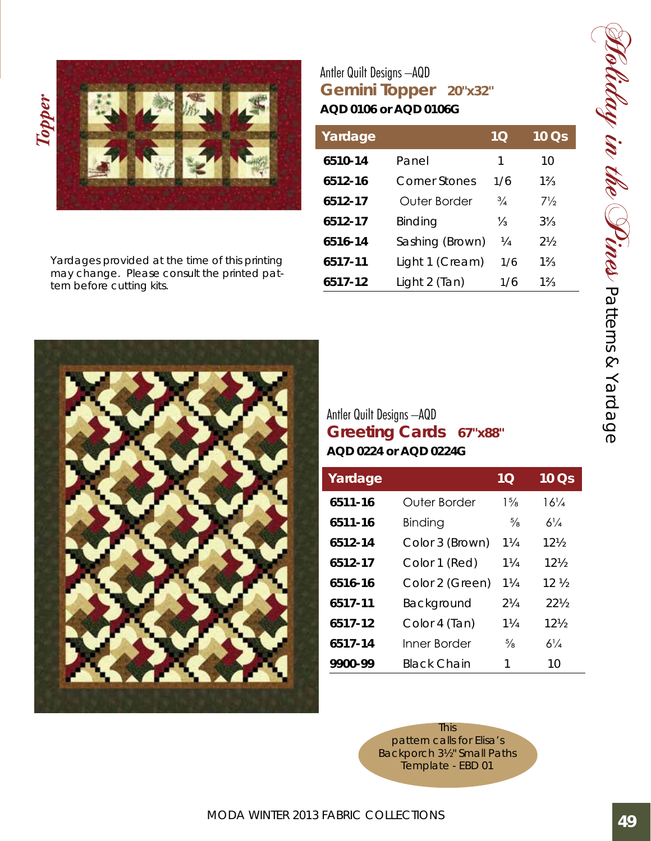



Yardages provided at the time of this printing may change. Please consult the printed pattern before cutting kits.

## **Gemini Topper 20"x32"** Antler Quilt Designs –AQD **AQD 0106 or AQD 0106G**

| Yardage |                 | 10            | 10 Qs          |
|---------|-----------------|---------------|----------------|
| 6510-14 | Panel           | 1             | 10             |
| 6512-16 | Corner Stones   | 1/6           | $1\frac{2}{3}$ |
| 6512-17 | Outer Border    | $\frac{3}{4}$ | $7\frac{1}{2}$ |
| 6512-17 | Binding         | $\frac{1}{3}$ | $3\frac{1}{2}$ |
| 6516-14 | Sashing (Brown) | ¼             | $2\frac{1}{2}$ |
| 6517-11 | Light 1 (Cream) | 1/6           | $1\frac{2}{3}$ |
| 6517-12 | Light 2 (Tan)   | 1/6           | $1\frac{2}{3}$ |



# **Greeting Cards 67"x88"** Antler Quilt Designs –AQD **AQD 0224 or AQD 0224G**

| Yardage |                    | 1Q             | 10 Qs           |
|---------|--------------------|----------------|-----------------|
| 6511-16 | Outer Border       | $1\frac{5}{8}$ | $16\frac{1}{4}$ |
| 6511-16 | Binding            | $\frac{5}{8}$  | $6\frac{1}{4}$  |
| 6512-14 | Color 3 (Brown)    | $1\frac{1}{4}$ | $12\frac{1}{2}$ |
| 6512-17 | Color 1 (Red)      | $1\frac{1}{4}$ | $12\frac{1}{2}$ |
| 6516-16 | Color 2 (Green)    | $1\frac{1}{4}$ | 12 <sub>2</sub> |
| 6517-11 | Background         | $2\frac{1}{4}$ | $22\%$          |
| 6517-12 | Color 4 (Tan)      | $1\frac{1}{4}$ | $12\%$          |
| 6517-14 | Inner Border       | $\frac{5}{8}$  | $6\frac{1}{4}$  |
| 9900-99 | <b>Black Chain</b> | 1              | 10              |

This pattern calls for Elisa's Backporch 3½" Small Paths Template - EBD 01